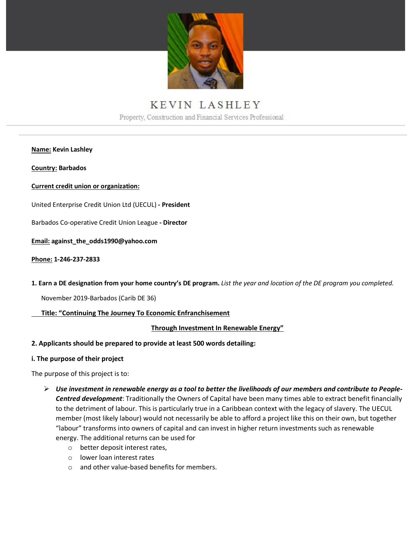

# KEVIN LASHLEY Property, Construction and Financial Services Professional

**Name: Kevin Lashley**

**Country: Barbados**

#### **Current credit union or organization:**

United Enterprise Credit Union Ltd (UECUL) **- President**

Barbados Co-operative Credit Union League **- Director**

**Email: against\_the\_odds1990@yahoo.com**

**Phone: 1-246-237-2833**

**1. Earn a DE designation from your home country's DE program.** *List the year and location of the DE program you completed.*

November 2019-Barbados (Carib DE 36)

#### **Title: "Continuing The Journey To Economic Enfranchisement**

#### **Through Investment In Renewable Energy"**

#### **2. Applicants should be prepared to provide at least 500 words detailing:**

#### **i. The purpose of their project**

The purpose of this project is to:

- *Use investment in renewable energy as a tool to better the livelihoods of our members and contribute to People-Centred development*: Traditionally the Owners of Capital have been many times able to extract benefit financially to the detriment of labour. This is particularly true in a Caribbean context with the legacy of slavery. The UECUL member (most likely labour) would not necessarily be able to afford a project like this on their own, but together "labour" transforms into owners of capital and can invest in higher return investments such as renewable energy. The additional returns can be used for
	- o better deposit interest rates,
	- o lower loan interest rates
	- o and other value-based benefits for members.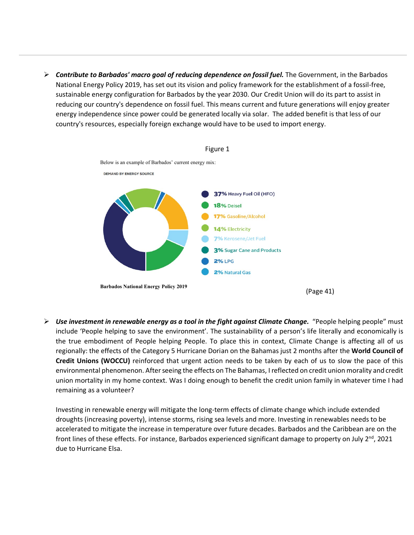*Contribute to Barbados' macro goal of reducing dependence on fossil fuel.* The Government, in the Barbados National Energy Policy 2019, has set out its vision and policy framework for the establishment of a fossil-free, sustainable energy configuration for Barbados by the year 2030. Our Credit Union will do its part to assist in reducing our country's dependence on fossil fuel. This means current and future generations will enjoy greater energy independence since power could be generated locally via solar. The added benefit is that less of our country's resources, especially foreign exchange would have to be used to import energy.



 *Use investment in renewable energy as a tool in the fight against Climate Change.* "People helping people" must include 'People helping to save the environment'. The sustainability of a person's life literally and economically is the true embodiment of People helping People. To place this in context, Climate Change is affecting all of us regionally: the effects of the Category 5 Hurricane Dorian on the Bahamas just 2 months after the **World Council of Credit Unions (WOCCU)** reinforced that urgent action needs to be taken by each of us to slow the pace of this environmental phenomenon. After seeing the effects on The Bahamas, I reflected on credit union morality and credit union mortality in my home context. Was I doing enough to benefit the credit union family in whatever time I had remaining as a volunteer?

Investing in renewable energy will mitigate the long-term effects of climate change which include extended droughts (increasing poverty), intense storms, rising sea levels and more. Investing in renewables needs to be accelerated to mitigate the increase in temperature over future decades. Barbados and the Caribbean are on the front lines of these effects. For instance, Barbados experienced significant damage to property on July  $2^{nd}$ , 2021 due to Hurricane Elsa.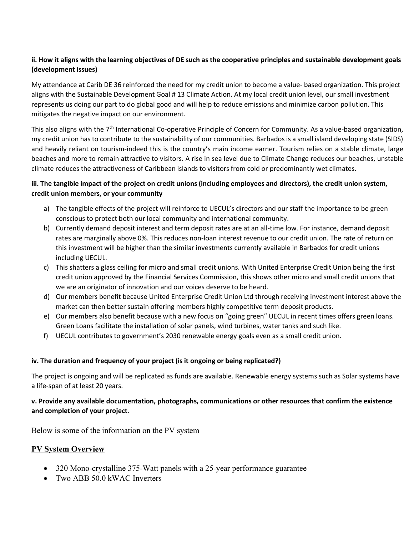### **ii. How it aligns with the learning objectives of DE such as the cooperative principles and sustainable development goals (development issues)**

My attendance at Carib DE 36 reinforced the need for my credit union to become a value- based organization. This project aligns with the Sustainable Development Goal # 13 Climate Action. At my local credit union level, our small investment represents us doing our part to do global good and will help to reduce emissions and minimize carbon pollution. This mitigates the negative impact on our environment.

This also aligns with the 7<sup>th</sup> International Co-operative Principle of Concern for Community. As a value-based organization, my credit union has to contribute to the sustainability of our communities. Barbados is a small island developing state (SIDS) and heavily reliant on tourism-indeed this is the country's main income earner. Tourism relies on a stable climate, large beaches and more to remain attractive to visitors. A rise in sea level due to Climate Change reduces our beaches, unstable climate reduces the attractiveness of Caribbean islands to visitors from cold or predominantly wet climates.

### **iii. The tangible impact of the project on credit unions (including employees and directors), the credit union system, credit union members, or your community**

- a) The tangible effects of the project will reinforce to UECUL's directors and our staff the importance to be green conscious to protect both our local community and international community.
- b) Currently demand deposit interest and term deposit rates are at an all-time low. For instance, demand deposit rates are marginally above 0%. This reduces non-loan interest revenue to our credit union. The rate of return on this investment will be higher than the similar investments currently available in Barbados for credit unions including UECUL.
- c) This shatters a glass ceiling for micro and small credit unions. With United Enterprise Credit Union being the first credit union approved by the Financial Services Commission, this shows other micro and small credit unions that we are an originator of innovation and our voices deserve to be heard.
- d) Our members benefit because United Enterprise Credit Union Ltd through receiving investment interest above the market can then better sustain offering members highly competitive term deposit products.
- e) Our members also benefit because with a new focus on "going green" UECUL in recent times offers green loans. Green Loans facilitate the installation of solar panels, wind turbines, water tanks and such like.
- f) UECUL contributes to government's 2030 renewable energy goals even as a small credit union.

### **iv. The duration and frequency of your project (is it ongoing or being replicated?)**

The project is ongoing and will be replicated as funds are available. Renewable energy systems such as Solar systems have a life-span of at least 20 years.

### **v. Provide any available documentation, photographs, communications or other resources that confirm the existence and completion of your project**.

Below is some of the information on the PV system

### **PV System Overview**

- 320 Mono-crystalline 375-Watt panels with a 25-year performance guarantee
- Two ABB 50.0 kWAC Inverters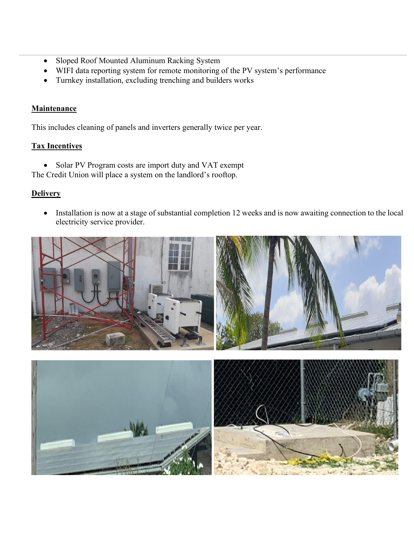- Sloped Roof Mounted Aluminum Racking System
- WIFI data reporting system for remote monitoring of the PV system's performance
- Turnkey installation, excluding trenching and builders works

# **Maintenance**

This includes cleaning of panels and inverters generally twice per year.

# **Tax Incentives**

• Solar PV Program costs are import duty and VAT exempt

The Credit Union will place a system on the landlord's rooftop.

# **Delivery**

• Installation is now at a stage of substantial completion 12 weeks and is now awaiting connection to the local electricity service provider.